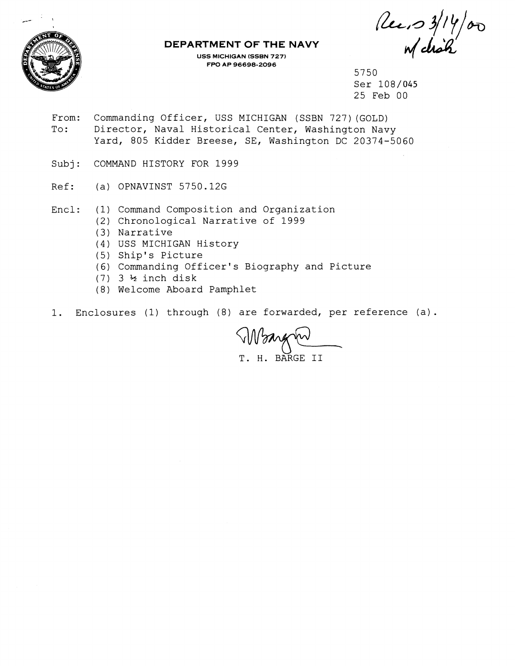

## **DEPARTMENT OF THE NAVY**

**USS MICHIGAN (SSBN 727) FPO AP 96698-2096** 

Rec.  $314/\sigma$ 

5750 Ser 108/045 25 Feb 00

- From: Commanding Officer, USS MICHIGAN (SSBN 727) (GOLD) To: Director, Naval Historical Center, Washington Navy Yard, 805 Kidder Breese, SE, Washington DC 20374-5060
- Subj: COMMAND HISTORY FOR 1999
- Ref: (a) OPNAVINST 5750.12G
- Encl: (1) Command Composition and Organization
	- (2) Chronological Narrative of 1999
	- (3) Narrative
	- (4) USS MICHIGAN History
	- (5) Ship's Picture
	- (6) Commanding Officer's Biography and Picture
	- (7) 3 % inch disk
	- (8) Welcome Aboard Pamphlet
- 1. Enclosures (1) through (8) are forwarded, per reference (a).

Wanger H. BARGE II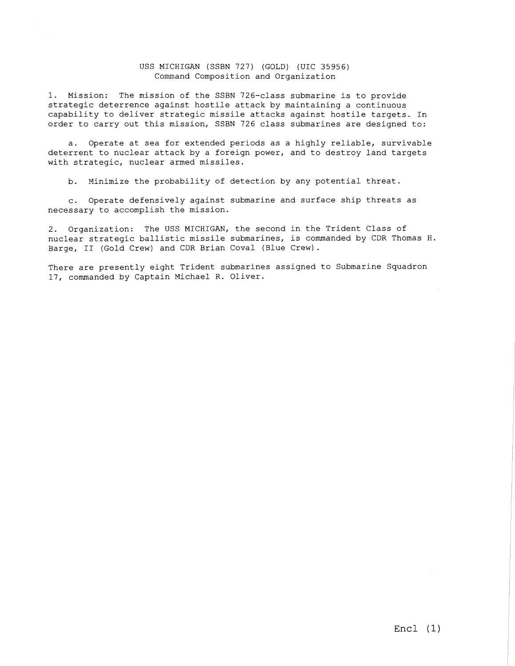#### USS MICHIGAN (SSBN 727) (GOLD) (UIC 35956) Command Composition and Organization

1. Mission: The mission of the SSBN 726-class submarine is to provide strategic deterrence against hostile attack by maintaining a continuous capability to deliver strategic missile attacks against hostile targets. In order to carry out this mission, SSBN 726 class submarines are designed to:

a. Operate at sea for extended periods as a highly reliable, survivable deterrent to nuclear attack by a foreign power, and to destroy land targets with strategic, nuclear armed missiles.

b. Minimize the probability of detection by any potential threat.

**c.** Operate defensively against submarine and surface ship threats as necessary to accomplish the mission.

2. Organization: The USS MICHIGAN, the second in the Trident Class of nuclear strategic ballistic missile submarines, is commanded by CDR Thomas H. Barge, I1 (Gold Crew) and CDR Brian Coval (Blue Crew).

There are presently eight Trident submarines assigned to Submarine Squadron 17, commanded by Captain Michael R. Oliver.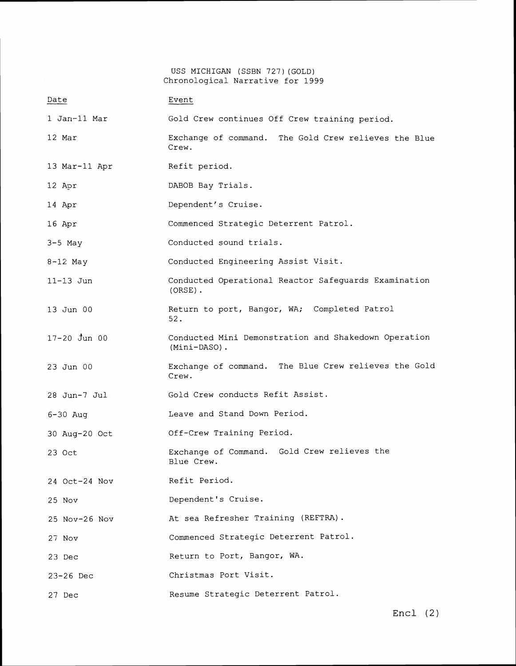USS MICHIGAN (SSBN 727)(GOLD) Chronological Narrative for 1999

| Date             | Event                                                                |
|------------------|----------------------------------------------------------------------|
| 1 Jan-11 Mar     | Gold Crew continues Off Crew training period.                        |
| 12 Mar           | Exchange of command.<br>The Gold Crew relieves the Blue<br>Crew.     |
| 13 Mar-11 Apr    | Refit period.                                                        |
| 12 Apr           | DABOB Bay Trials.                                                    |
| 14 Apr           | Dependent's Cruise.                                                  |
| 16 Apr           | Commenced Strategic Deterrent Patrol.                                |
| $3-5$ May        | Conducted sound trials.                                              |
| $8-12$ May       | Conducted Engineering Assist Visit.                                  |
| $11 - 13$ Jun    | Conducted Operational Reactor Safeguards Examination<br>$(ORE)$ .    |
| 13 Jun 00        | Return to port, Bangor, WA; Completed Patrol<br>52.                  |
| $17 - 20$ Jun 00 | Conducted Mini Demonstration and Shakedown Operation<br>(Mini-DASO). |
| 23 Jun 00        | Exchange of command. The Blue Crew relieves the Gold<br>Crew.        |
| 28 Jun-7 Jul     | Gold Crew conducts Refit Assist.                                     |
| $6 - 30$ Aug     | Leave and Stand Down Period.                                         |
| 30 Aug-20 Oct    | Off-Crew Training Period.                                            |
| 23 Oct           | Exchange of Command. Gold Crew relieves the<br>Blue Crew.            |
| 24 Oct-24 Nov    | Refit Period.                                                        |
| $25$ Nov         | Dependent's Cruise.                                                  |
| 25 Nov-26 Nov    | At sea Refresher Training (REFTRA).                                  |
| 27 Nov           | Commenced Strategic Deterrent Patrol.                                |
| 23 Dec           | Return to Port, Bangor, WA.                                          |
| 23-26 Dec        | Christmas Port Visit.                                                |
| 27 Dec           | Resume Strategic Deterrent Patrol.                                   |

Encl (2)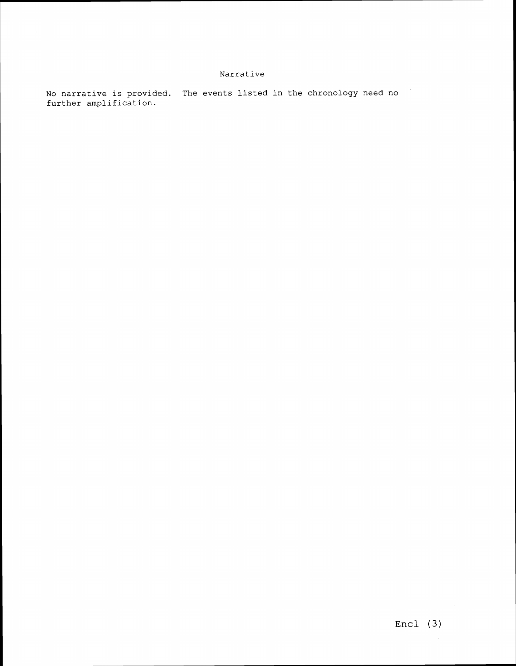## **Narrative**

**No narrative is provided. The events listed in the chronology need no**   $\mathcal{F}_\mathrm{c}$ **further amplification.**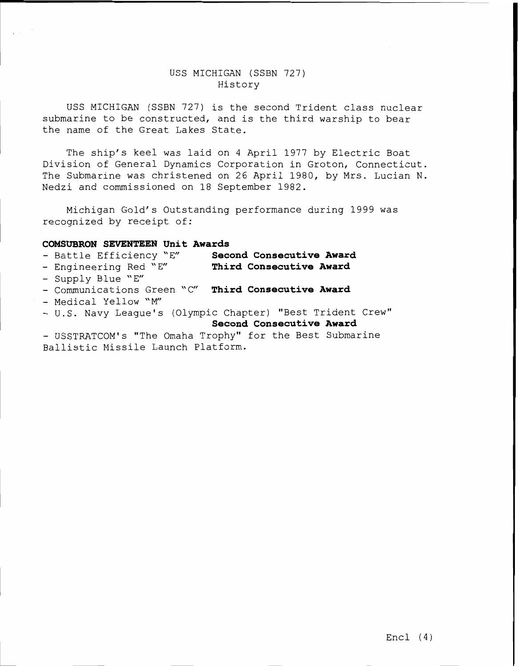# USS MICHIGAN (SSBN 727) History

USS MICHIGAN (SSBN 727) is the second Trident class nuclear submarine to be constructed, and is the third warship to bear the name of the Great Lakes State.

The ship's keel was laid on 4 April 1977 by Electric Boat Division of General Dynamics Corporation in Groton, Connecticut. The Submarine was christened on 26 April 1980, by Mrs. Lucian N. Nedzi and commissioned on 18 September 1982.

Michigan Gold's Outstanding performance during 1999 was recognized by receipt of:

## **COMSUBRON SEVENTEEN Unit Awards**

- Battle Efficiency "E" **Second Consecutive Award**
- Engineering Red 'E" **Third Consecutive Award**
- Supply Blue "E"
- Communications Green 'C" **Third Consecutive Award**
- Medical Yellow "M"
- U.S. Navy League's (Olympic Chapter) "Best Trident Crew" **Second Consecutive Award**
- USSTRATCOM's "The Omaha Trophy" for the Best Submarine Ballistic Missile Launch Platform.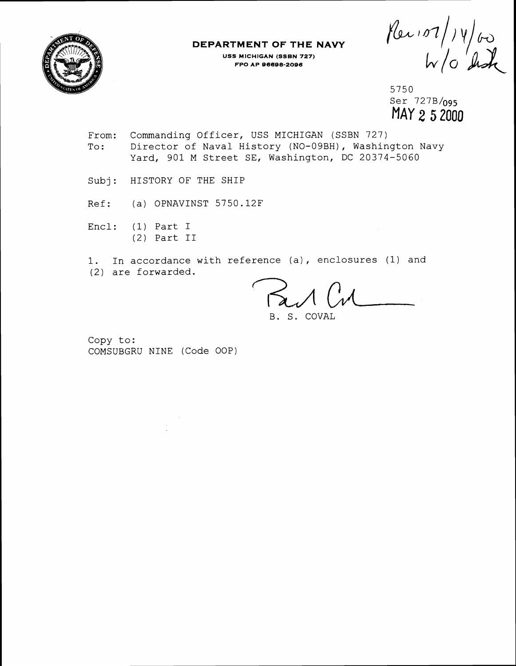

#### **DEPARTMENT OF THE NAVY USS MICHIGAN (SSBN 727) FPO AP 06608-2096**

Plex 107/14/60

5750 Ser 727B/og5 **MAY 2 5** 2000

- From: Commanding Officer, USS MICHIGAN (SSBN 727) To: Director of Naval History (NO-09BH), Washington Navy Yard, 901 M Street SE, Washington, DC 20374-5060
- Subj: HISTORY OF THE SHIP
- Ref: (a) OPNAVINST 5750.12F
- Encl: **(1)** Part I (2) Part I1

1. In accordance with reference (a), enclosures (1) and (2) are forwarded.

B. S. COVAL

Copy to: COMSUBGRU NINE (Code OOP)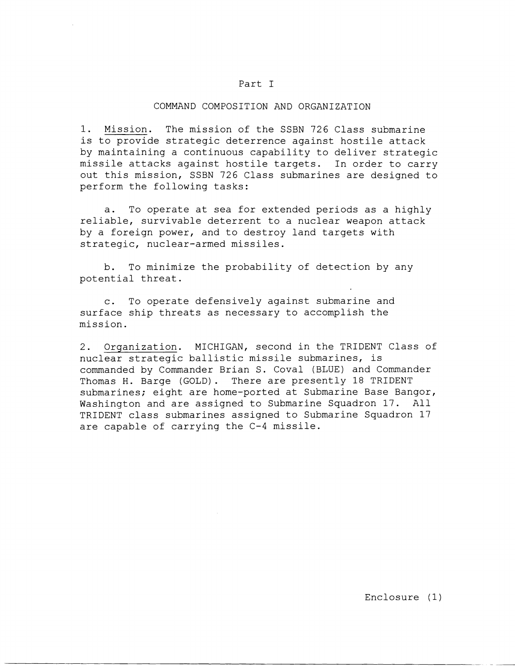### Part I

#### COMMAND COMPOSITION AND ORGANIZATION

1. Mission. The mission of the SSBN 726 Class submarine is to provide strategic deterrence against hostile attack by maintaining a continuous capability to deliver strategic missile attacks against hostile targets. In order to carry out this mission, SSBN 726 Class submarines are designed to perform the following tasks:

a. To operate at sea for extended periods as a highly reliable, survivable deterrent to a nuclear weapon attack by a foreign power, and to destroy land targets with strategic, nuclear-armed missiles.

b. To minimize the probability of detection by any potential threat.

c. To operate defensively against submarine and surface ship threats as necessary to accomplish the mission.

2. Organization. MICHIGAN, second in the TRIDENT Class of nuclear strategic ballistic missile submarines, is commanded by Commander Brian S. Coval (BLUE) and Commander Thomas H. Barge (GOLD). There are presently 18 TRIDENT submarines; eight are home-ported at Submarine Base Bangor, Washington and are assigned to Submarine Squadron 17. All TRIDENT class submarines assigned to Submarine Squadron 17 are capable of carrying the C-4 missile.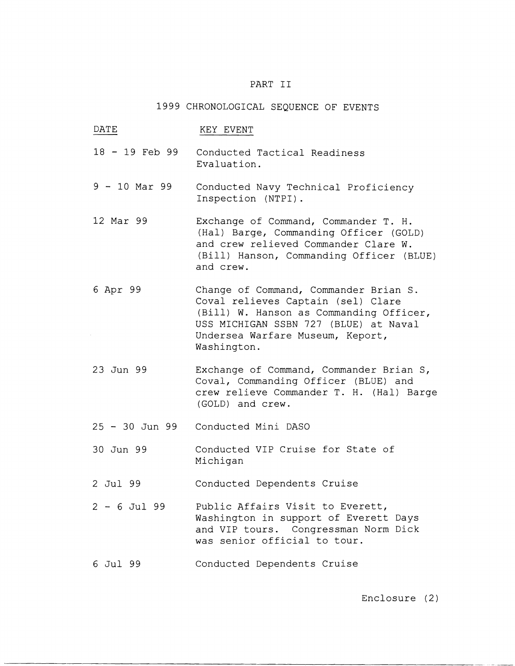## PART I1

### 1999 CHRONOLOGICAL SEQUENCE OF EVENTS

DATE KEY EVENT <sup>18</sup>- 19 Feb 99 Conducted Tactical Readiness Evaluation. <sup>9</sup>- 10 Mar 99 Conducted Navy Technical Proficiency Inspection (NTPI) . 12 Mar 99 Exchange of Command, Commander T. H. (Hal) Barge, Commanding Officer (GOLD) and crew relieved Commander Clare W. (Bill) Hanson, Commanding Officer (BLUE) and crew. 6 Apr 99 23 Jun 99 Change of Command, Commander Brian S. Coval relieves Captain (sel) Clare (Bill) W. Hanson as Commanding Officer, USS MICHIGAN SSBN 727 (BLUE) at Naval Undersea Warfare Museum, Keport, Washington. Exchange of Command, Commander Brian S, Coval, Commanding Officer (BLUE) and crew relieve Commander T. H. (Hal) Barge (GOLD) and crew. <sup>25</sup>- 30 Jun 99 Conducted Mini DASO 30 Jun 99 Conducted VIP Cruise for State of Michigan 2 Jul 99 Conducted Dependents Cruise <sup>2</sup>- 6 Jul 99 Public Affairs Visit to Everett, Washington in support of Everett Days and VIP tours. Congressman Norm Dick was senior official to tour. 6 Jul 99 Conducted Dependents Cruise

Enclosure (2)